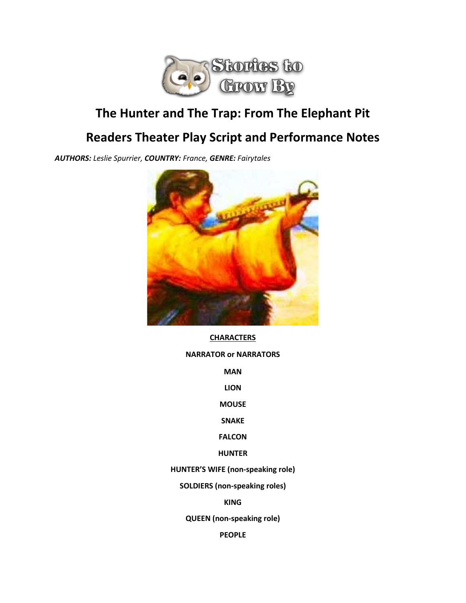

# **The Hunter and The Trap: From The Elephant Pit**

# **Readers Theater Play Script and Performance Notes**

*AUTHORS: Leslie Spurrier, COUNTRY: France, GENRE: Fairytales*



#### **CHARACTERS**

#### **NARRATOR or NARRATORS**

**MAN**

**LION**

**MOUSE**

**SNAKE**

**FALCON**

**HUNTER**

**HUNTER'S WIFE (non-speaking role)**

**SOLDIERS (non-speaking roles)**

**KING**

**QUEEN (non-speaking role)**

**PEOPLE**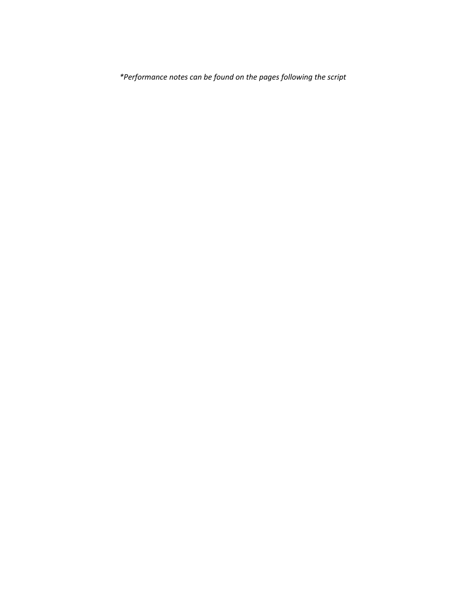*\*Performance notes can be found on the pages following the script*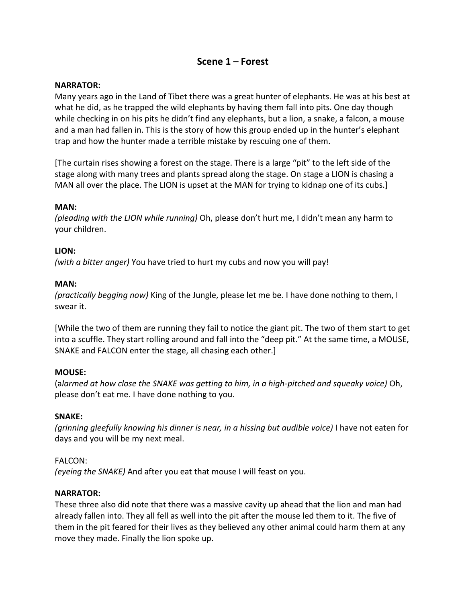# **Scene 1 – Forest**

#### **NARRATOR:**

Many years ago in the Land of Tibet there was a great hunter of elephants. He was at his best at what he did, as he trapped the wild elephants by having them fall into pits. One day though while checking in on his pits he didn't find any elephants, but a lion, a snake, a falcon, a mouse and a man had fallen in. This is the story of how this group ended up in the hunter's elephant trap and how the hunter made a terrible mistake by rescuing one of them.

[The curtain rises showing a forest on the stage. There is a large "pit" to the left side of the stage along with many trees and plants spread along the stage. On stage a LION is chasing a MAN all over the place. The LION is upset at the MAN for trying to kidnap one of its cubs.]

# **MAN:**

*(pleading with the LION while running)* Oh, please don't hurt me, I didn't mean any harm to your children.

#### **LION:**

*(with a bitter anger)* You have tried to hurt my cubs and now you will pay!

#### **MAN:**

*(practically begging now)* King of the Jungle, please let me be. I have done nothing to them, I swear it.

[While the two of them are running they fail to notice the giant pit. The two of them start to get into a scuffle. They start rolling around and fall into the "deep pit." At the same time, a MOUSE, SNAKE and FALCON enter the stage, all chasing each other.]

#### **MOUSE:**

(a*larmed at how close the SNAKE was getting to him, in a high-pitched and squeaky voice)* Oh, please don't eat me. I have done nothing to you.

#### **SNAKE:**

*(grinning gleefully knowing his dinner is near, in a hissing but audible voice)* I have not eaten for days and you will be my next meal.

#### FALCON:

*(eyeing the SNAKE)* And after you eat that mouse I will feast on you.

#### **NARRATOR:**

These three also did note that there was a massive cavity up ahead that the lion and man had already fallen into. They all fell as well into the pit after the mouse led them to it. The five of them in the pit feared for their lives as they believed any other animal could harm them at any move they made. Finally the lion spoke up.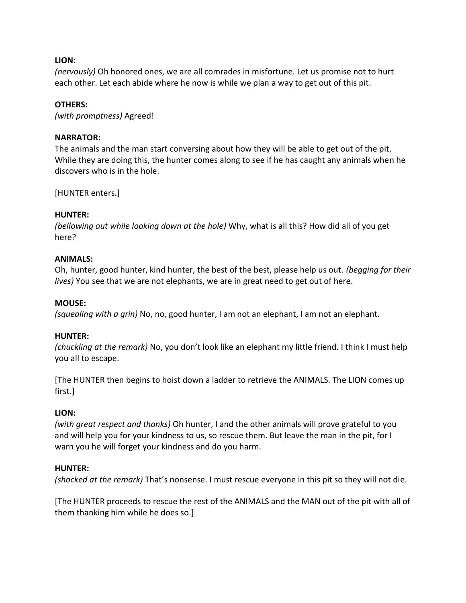# **LION:**

*(nervously)* Oh honored ones, we are all comrades in misfortune. Let us promise not to hurt each other. Let each abide where he now is while we plan a way to get out of this pit.

# **OTHERS:**

*(with promptness)* Agreed!

# **NARRATOR:**

The animals and the man start conversing about how they will be able to get out of the pit. While they are doing this, the hunter comes along to see if he has caught any animals when he discovers who is in the hole.

[HUNTER enters.]

#### **HUNTER:**

*(bellowing out while looking down at the hole)* Why, what is all this? How did all of you get here?

#### **ANIMALS:**

Oh, hunter, good hunter, kind hunter, the best of the best, please help us out. *(begging for their lives)* You see that we are not elephants, we are in great need to get out of here.

#### **MOUSE:**

*(squealing with a grin)* No, no, good hunter, I am not an elephant, I am not an elephant.

#### **HUNTER:**

*(chuckling at the remark)* No, you don't look like an elephant my little friend. I think I must help you all to escape.

[The HUNTER then begins to hoist down a ladder to retrieve the ANIMALS. The LION comes up first.]

#### **LION:**

*(with great respect and thanks)* Oh hunter, I and the other animals will prove grateful to you and will help you for your kindness to us, so rescue them. But leave the man in the pit, for I warn you he will forget your kindness and do you harm.

#### **HUNTER:**

*(shocked at the remark)* That's nonsense. I must rescue everyone in this pit so they will not die.

[The HUNTER proceeds to rescue the rest of the ANIMALS and the MAN out of the pit with all of them thanking him while he does so.]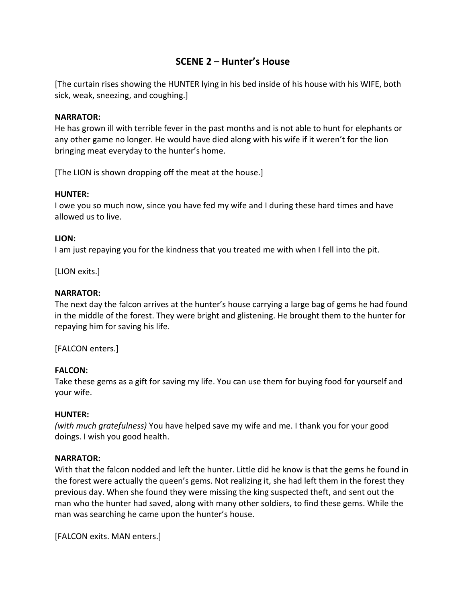# **SCENE 2 – Hunter's House**

[The curtain rises showing the HUNTER lying in his bed inside of his house with his WIFE, both sick, weak, sneezing, and coughing.]

# **NARRATOR:**

He has grown ill with terrible fever in the past months and is not able to hunt for elephants or any other game no longer. He would have died along with his wife if it weren't for the lion bringing meat everyday to the hunter's home.

[The LION is shown dropping off the meat at the house.]

#### **HUNTER:**

I owe you so much now, since you have fed my wife and I during these hard times and have allowed us to live.

# **LION:**

I am just repaying you for the kindness that you treated me with when I fell into the pit.

[LION exits.]

# **NARRATOR:**

The next day the falcon arrives at the hunter's house carrying a large bag of gems he had found in the middle of the forest. They were bright and glistening. He brought them to the hunter for repaying him for saving his life.

[FALCON enters.]

# **FALCON:**

Take these gems as a gift for saving my life. You can use them for buying food for yourself and your wife.

#### **HUNTER:**

*(with much gratefulness)* You have helped save my wife and me. I thank you for your good doings. I wish you good health.

# **NARRATOR:**

With that the falcon nodded and left the hunter. Little did he know is that the gems he found in the forest were actually the queen's gems. Not realizing it, she had left them in the forest they previous day. When she found they were missing the king suspected theft, and sent out the man who the hunter had saved, along with many other soldiers, to find these gems. While the man was searching he came upon the hunter's house.

[FALCON exits. MAN enters.]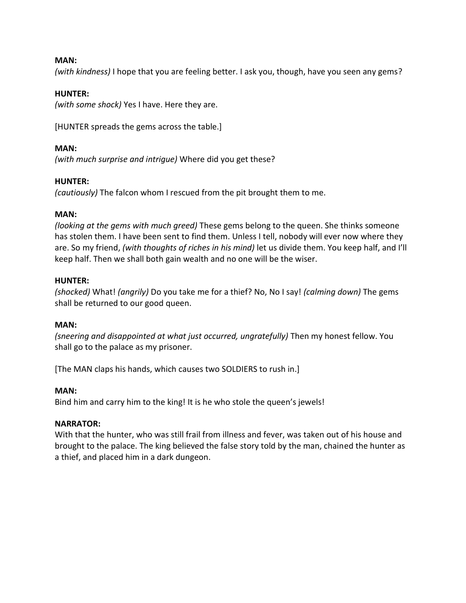#### **MAN:**

*(with kindness)* I hope that you are feeling better. I ask you, though, have you seen any gems?

#### **HUNTER:**

*(with some shock)* Yes I have. Here they are.

[HUNTER spreads the gems across the table.]

#### **MAN:**

*(with much surprise and intrigue)* Where did you get these?

#### **HUNTER:**

*(cautiously)* The falcon whom I rescued from the pit brought them to me.

#### **MAN:**

*(looking at the gems with much greed)* These gems belong to the queen. She thinks someone has stolen them. I have been sent to find them. Unless I tell, nobody will ever now where they are. So my friend, *(with thoughts of riches in his mind)* let us divide them. You keep half, and I'll keep half. Then we shall both gain wealth and no one will be the wiser.

#### **HUNTER:**

*(shocked)* What! *(angrily)* Do you take me for a thief? No, No I say! *(calming down)* The gems shall be returned to our good queen.

#### **MAN:**

*(sneering and disappointed at what just occurred, ungratefully)* Then my honest fellow. You shall go to the palace as my prisoner.

[The MAN claps his hands, which causes two SOLDIERS to rush in.]

#### **MAN:**

Bind him and carry him to the king! It is he who stole the queen's jewels!

#### **NARRATOR:**

With that the hunter, who was still frail from illness and fever, was taken out of his house and brought to the palace. The king believed the false story told by the man, chained the hunter as a thief, and placed him in a dark dungeon.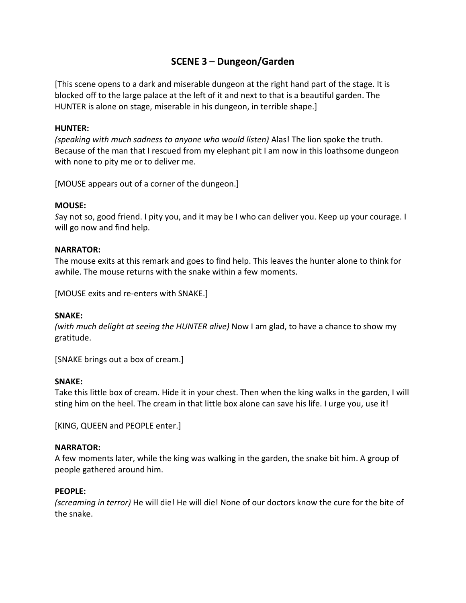# **SCENE 3 – Dungeon/Garden**

[This scene opens to a dark and miserable dungeon at the right hand part of the stage. It is blocked off to the large palace at the left of it and next to that is a beautiful garden. The HUNTER is alone on stage, miserable in his dungeon, in terrible shape.]

#### **HUNTER:**

*(speaking with much sadness to anyone who would listen)* Alas! The lion spoke the truth. Because of the man that I rescued from my elephant pit I am now in this loathsome dungeon with none to pity me or to deliver me.

[MOUSE appears out of a corner of the dungeon.]

#### **MOUSE:**

*S*ay not so, good friend. I pity you, and it may be I who can deliver you. Keep up your courage. I will go now and find help.

#### **NARRATOR:**

The mouse exits at this remark and goes to find help. This leaves the hunter alone to think for awhile. The mouse returns with the snake within a few moments.

[MOUSE exits and re-enters with SNAKE.]

#### **SNAKE:**

*(with much delight at seeing the HUNTER alive)* Now I am glad, to have a chance to show my gratitude.

[SNAKE brings out a box of cream.]

#### **SNAKE:**

Take this little box of cream. Hide it in your chest. Then when the king walks in the garden, I will sting him on the heel. The cream in that little box alone can save his life. I urge you, use it!

[KING, QUEEN and PEOPLE enter.]

#### **NARRATOR:**

A few moments later, while the king was walking in the garden, the snake bit him. A group of people gathered around him.

#### **PEOPLE:**

*(screaming in terror)* He will die! He will die! None of our doctors know the cure for the bite of the snake.